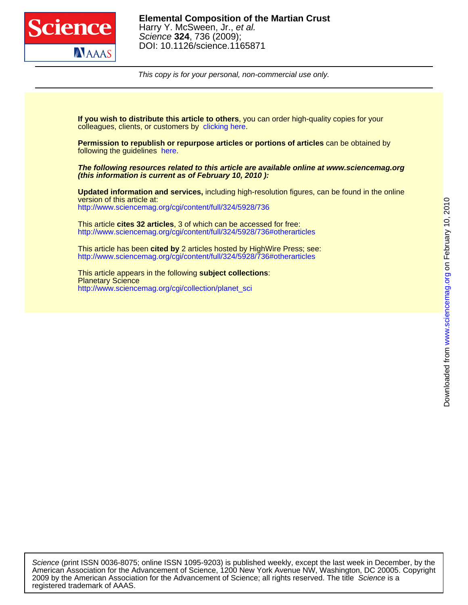

This copy is for your personal, non-commercial use only.

colleagues, clients, or customers by [clicking here.](http://www.sciencemag.org/about/permissions.dtl) **If you wish to distribute this article to others**, you can order high-quality copies for your

following the guidelines [here.](http://www.sciencemag.org/help/about/permissions.dtl) **Permission to republish or repurpose articles or portions of articles** can be obtained by

**(this information is current as of February 10, 2010 ): The following resources related to this article are available online at www.sciencemag.org**

<http://www.sciencemag.org/cgi/content/full/324/5928/736> version of this article at: **Updated information and services,** including high-resolution figures, can be found in the online

<http://www.sciencemag.org/cgi/content/full/324/5928/736#otherarticles> This article **cites 32 articles**, 3 of which can be accessed for free:

<http://www.sciencemag.org/cgi/content/full/324/5928/736#otherarticles> This article has been **cited by** 2 articles hosted by HighWire Press; see:

[http://www.sciencemag.org/cgi/collection/planet\\_sci](http://www.sciencemag.org/cgi/collection/planet_sci) **Planetary Science** This article appears in the following **subject collections**:

registered trademark of AAAS. 2009 by the American Association for the Advancement of Science; all rights reserved. The title Science is a American Association for the Advancement of Science, 1200 New York Avenue NW, Washington, DC 20005. Copyright Science (print ISSN 0036-8075; online ISSN 1095-9203) is published weekly, except the last week in December, by the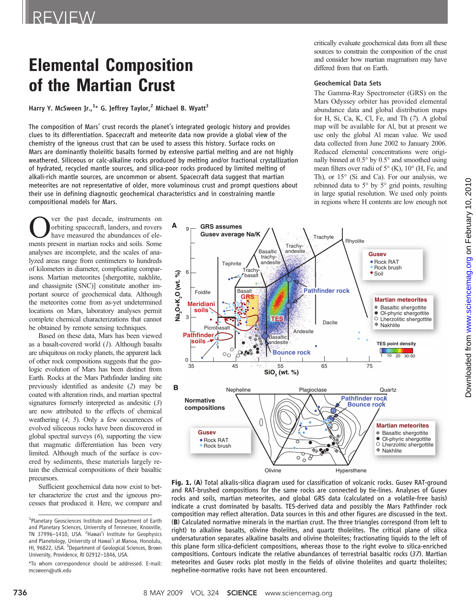# Elemental Composition of the Martian Crust

Harry Y. McSween Jr.,<sup>1</sup>\* G. Jeffrey Taylor,<sup>2</sup> Michael B. Wyatt<sup>3</sup>

The composition of Mars' crust records the planet's integrated geologic history and provides clues to its differentiation. Spacecraft and meteorite data now provide a global view of the chemistry of the igneous crust that can be used to assess this history. Surface rocks on Mars are dominantly tholeiitic basalts formed by extensive partial melting and are not highly weathered. Siliceous or calc-alkaline rocks produced by melting and/or fractional crystallization of hydrated, recycled mantle sources, and silica-poor rocks produced by limited melting of alkali-rich mantle sources, are uncommon or absent. Spacecraft data suggest that martian meteorites are not representative of older, more voluminous crust and prompt questions about their use in defining diagnostic geochemical characteristics and in constraining mantle compositional models for Mars.

**OVERTUAN SURFEREN** ver the past decade, instruments on overs<br>have measured the abundances of ele-<br>ments present in martian rocks and soils. Some orbiting spacecraft, landers, and rovers have measured the abundances of elements present in martian rocks and soils. Some analyses are incomplete, and the scales of analyzed areas range from centimeters to hundreds of kilometers in diameter, complicating comparisons. Martian meteorites [shergottite, nakhlite, and chassignite (SNC)] constitute another important source of geochemical data. Although the meteorites come from as-yet undetermined locations on Mars, laboratory analyses permit complete chemical characterizations that cannot be obtained by remote sensing techniques.

Based on these data, Mars has been viewed as a basalt-covered world  $(I)$ . Although basalts are ubiquitous on rocky planets, the apparent lack of other rock compositions suggests that the geologic evolution of Mars has been distinct from Earth. Rocks at the Mars Pathfinder landing site previously identified as andesite (2) may be coated with alteration rinds, and martian spectral signatures formerly interpreted as andesitic (3) are now attributed to the effects of chemical weathering (4, 5). Only a few occurrences of evolved siliceous rocks have been discovered in global spectral surveys (6), supporting the view that magmatic differentiation has been very limited. Although much of the surface is covered by sediments, these materials largely retain the chemical compositions of their basaltic precursors.

Sufficient geochemical data now exist to better characterize the crust and the igneous processes that produced it. Here, we compare and critically evaluate geochemical data from all these sources to constrain the composition of the crust and consider how martian magmatism may have differed from that on Earth.

# Geochemical Data Sets

The Gamma-Ray Spectrometer (GRS) on the Mars Odyssey orbiter has provided elemental abundance data and global distribution maps for H, Si, Ca, K, Cl, Fe, and Th (7). A global map will be available for Al, but at present we use only the global Al mean value. We used data collected from June 2002 to January 2006. Reduced elemental concentrations were originally binned at 0.5° by 0.5° and smoothed using mean filters over radii of 5° (K), 10° (H, Fe, and Th), or 15° (Si and Ca). For our analysis, we rebinned data to 5° by 5° grid points, resulting in large spatial resolution. We used only points in regions where H contents are low enough not



Fig. 1. (A) Total alkalis-silica diagram used for classification of volcanic rocks. Gusev RAT-ground and RAT-brushed compositions for the same rocks are connected by tie-lines. Analyses of Gusev rocks and soils, martian meteorites, and global GRS data (calculated on a volatile-free basis) indicate a crust dominated by basalts. TES-derived data and possibly the Mars Pathfinder rock composition may reflect alteration. Data sources in this and other figures are discussed in the text. (B) Calculated normative minerals in the martian crust. The three triangles correspond (from left to right) to alkaline basalts, olivine tholeiites, and quartz tholeiites. The critical plane of silica undersaturation separates alkaline basalts and olivine tholeiites; fractionating liquids to the left of this plane form silica-deficient compositions, whereas those to the right evolve to silica-enriched compositions. Contours indicate the relative abundances of terrestrial basaltic rocks (37). Martian meteorites and Gusev rocks plot mostly in the fields of olivine tholeiites and quartz tholeiites; nepheline-normative rocks have not been encountered.

<sup>&</sup>lt;sup>1</sup>Planetary Geosciences Institute and Department of Earth and Planetary Sciences, University of Tennessee, Knoxville, TN 37996-1410, USA. <sup>2</sup>Hawai'i Institute for Geophysics and Planetology, University of Hawai'i at Manoa, Honolulu, HI, 96822, USA. <sup>3</sup> Department of Geological Sciences, Brown University, Providence, RI 02912–1846, USA.

<sup>\*</sup>To whom correspondence should be addressed. E-mail: mcsween@utk.edu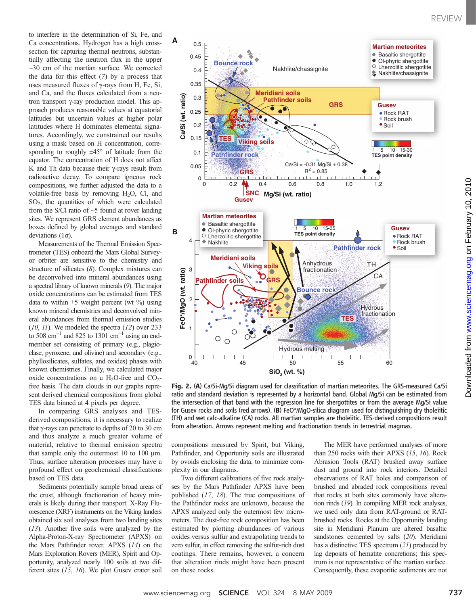to interfere in the determination of Si, Fe, and Ca concentrations. Hydrogen has a high crosssection for capturing thermal neutrons, substantially affecting the neutron flux in the upper  $\sim$ 30 cm of the martian surface. We corrected the data for this effect  $(7)$  by a process that uses measured fluxes of  $\gamma$ -rays from H, Fe, Si, and Ca, and the fluxes calculated from a neutron transport  $\gamma$ -ray production model. This approach produces reasonable values at equatorial latitudes but uncertain values at higher polar latitudes where H dominates elemental signatures. Accordingly, we constrained our results using a mask based on H concentration, corresponding to roughly  $\pm 45^\circ$  of latitude from the equator. The concentration of H does not affect K and Th data because their  $\gamma$ -rays result from radioactive decay. To compare igneous rock compositions, we further adjusted the data to a volatile-free basis by removing  $H_2O$ , Cl, and SO2, the quantities of which were calculated from the S/Cl ratio of  $\sim$ 5 found at rover landing sites. We represent GRS element abundances as boxes defined by global averages and standard deviations  $(1\sigma)$ .

Measurements of the Thermal Emission Spectrometer (TES) onboard the Mars Global Surveyor orbiter are sensitive to the chemistry and structure of silicates (8). Complex mixtures can be deconvolved into mineral abundances using a spectral library of known minerals (9). The major oxide concentrations can be estimated from TES data to within  $\pm 5$  weight percent (wt %) using known mineral chemistries and deconvolved mineral abundances from thermal emission studies  $(10, 11)$ . We modeled the spectra  $(12)$  over 233 to 508 cm<sup>-1</sup> and 825 to 1301 cm<sup>-1</sup> using an endmember set consisting of primary (e.g., plagioclase, pyroxene, and olivine) and secondary (e.g., phyllosilicates, sulfates, and oxides) phases with known chemistries. Finally, we calculated major oxide concentrations on a  $H_2O$ -free and  $CO_2$ free basis. The data clouds in our graphs represent derived chemical compositions from global TES data binned at 4 pixels per degree.

In comparing GRS analyses and TESderived compositions, it is necessary to realize that  $\gamma$ -rays can penetrate to depths of 20 to 30 cm and thus analyze a much greater volume of material, relative to thermal emission spectra that sample only the outermost 10 to 100  $\mu$ m. Thus, surface alteration processes may have a profound effect on geochemical classifications based on TES data.

Sediments potentially sample broad areas of the crust, although fractionation of heavy minerals is likely during their transport. X-Ray Fluorescence (XRF) instruments on the Viking landers obtained six soil analyses from two landing sites (13). Another five soils were analyzed by the Alpha-Proton-X-ray Spectrometer (APXS) on the Mars Pathfinder rover. APXS (14) on the Mars Exploration Rovers (MER), Spirit and Opportunity, analyzed nearly 100 soils at two different sites (15, 16). We plot Gusev crater soil



Fig. 2. (A) Ca/Si-Mg/Si diagram used for classification of martian meteorites. The GRS-measured Ca/Si ratio and standard deviation is represented by a horizontal band. Global Mg/Si can be estimated from the intersection of that band with the regression line for shergottites or from the average Mg/Si value for Gusev rocks and soils (red arrows). (B) FeO\*/MgO-silica diagram used for distinguishing dry tholeiitic (TH) and wet calc-alkaline (CA) rocks. All martian samples are tholeiitic. TES-derived compositions result from alteration. Arrows represent melting and fractionation trends in terrestrial magmas.

compositions measured by Spirit, but Viking, Pathfinder, and Opportunity soils are illustrated by ovoids enclosing the data, to minimize complexity in our diagrams.

Two different calibrations of five rock analyses by the Mars Pathfinder APXS have been published (17, 18). The true compositions of the Pathfinder rocks are unknown, because the APXS analyzed only the outermost few micrometers. The dust-free rock composition has been estimated by plotting abundances of various oxides versus sulfur and extrapolating trends to zero sulfur, in effect removing the sulfur-rich dust coatings. There remains, however, a concern that alteration rinds might have been present on these rocks.

The MER have performed analyses of more than 250 rocks with their APXS (15, 16). Rock Abrasion Tools (RAT) brushed away surface dust and ground into rock interiors. Detailed observations of RAT holes and comparison of brushed and abraded rock compositions reveal that rocks at both sites commonly have alteration rinds (19). In compiling MER rock analyses, we used only data from RAT-ground or RATbrushed rocks. Rocks at the Opportunity landing site in Meridiani Planum are altered basaltic sandstones cemented by salts (20). Meridiani has a distinctive TES spectrum (21) produced by lag deposits of hematite concretions; this spectrum is not representative of the martian surface. Consequently, these evaporitic sediments are not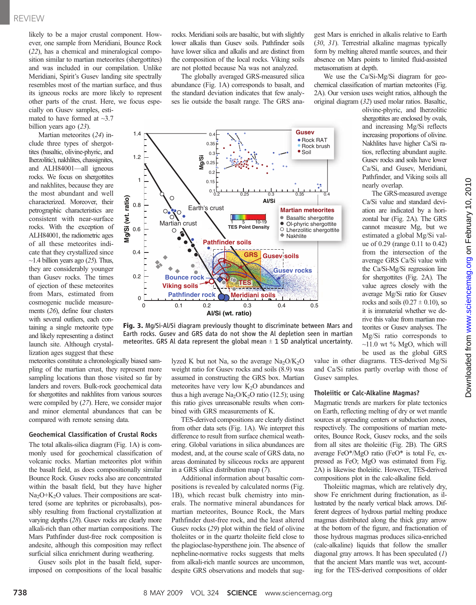likely to be a major crustal component. However, one sample from Meridiani, Bounce Rock (22), has a chemical and mineralogical composition similar to martian meteorites (shergottites) and was included in our compilation. Unlike Meridiani, Spirit's Gusev landing site spectrally resembles most of the martian surface, and thus its igneous rocks are more likely to represent other parts of the crust. Here, we focus especially on Gusev samples, estimated to have formed at  $\sim$ 3.7

Martian meteorites (24) include three types of shergottites (basaltic, olivine-phyric, and lherzolitic), nakhlites, chassignites, and ALH84001—all igneous rocks. We focus on shergottites and nakhlites, because they are the most abundant and well characterized. Moreover, their petrographic characteristics are consistent with near-surface rocks. With the exception of ALH84001, the radiometric ages of all these meteorites indicate that they crystallized since  $\sim$ 1.4 billion years ago (25). Thus, they are considerably younger than Gusev rocks. The times of ejection of these meteorites from Mars, estimated from cosmogenic nuclide measurements (26), define four clusters with several outliers, each containing a single meteorite type and likely representing a distinct launch site. Although crystallization ages suggest that these

billion years ago (23).

meteorites constitute a chronologically biased sampling of the martian crust, they represent more sampling locations than those visited so far by landers and rovers. Bulk-rock geochemical data for shergottites and nakhlites from various sources were compiled by (27). Here, we consider major and minor elemental abundances that can be compared with remote sensing data.

### Geochemical Classification of Crustal Rocks

The total alkalis-silica diagram (Fig. 1A) is commonly used for geochemical classification of volcanic rocks. Martian meteorites plot within the basalt field, as does compositionally similar Bounce Rock. Gusev rocks also are concentrated within the basalt field, but they have higher Na<sub>2</sub>O+K<sub>2</sub>O values. Their compositions are scattered (some are tephrites or picrobasalts), possibly resulting from fractional crystallization at varying depths (28). Gusev rocks are clearly more alkali-rich than other martian compositions. The Mars Pathfinder dust-free rock composition is andesite, although this composition may reflect surficial silica enrichment during weathering.

Gusev soils plot in the basalt field, superimposed on compositions of the local basaltic rocks. Meridiani soils are basaltic, but with slightly lower alkalis than Gusev soils. Pathfinder soils have lower silica and alkalis and are distinct from the composition of the local rocks. Viking soils are not plotted because Na was not analyzed.

The globally averaged GRS-measured silica abundance (Fig. 1A) corresponds to basalt, and the standard deviation indicates that few analyses lie outside the basalt range. The GRS ana-



Fig. 3. Mg/Si-Al/Si diagram previously thought to discriminate between Mars and Earth rocks. Gusev and GRS data do not show the Al depletion seen in martian meteorites. GRS Al data represent the global mean  $\pm$  1 SD analytical uncertainty.

lyzed K but not Na, so the average  $Na<sub>2</sub>O/K<sub>2</sub>O$ weight ratio for Gusev rocks and soils (8.9) was assumed in constructing the GRS box. Martian meteorites have very low  $K<sub>2</sub>O$  abundances and thus a high average  $Na<sub>2</sub>O/K<sub>2</sub>O$  ratio (12.5); using this ratio gives unreasonable results when combined with GRS measurements of K.

TES-derived compositions are clearly distinct from other data sets (Fig. 1A). We interpret this difference to result from surface chemical weathering. Global variations in silica abundances are modest, and, at the course scale of GRS data, no areas dominated by siliceous rocks are apparent in a GRS silica distribution map (7).

Additional information about basaltic compositions is revealed by calculated norms (Fig. 1B), which recast bulk chemistry into minerals. The normative mineral abundances for martian meteorites, Bounce Rock, the Mars Pathfinder dust-free rock, and the least altered Gusev rocks (29) plot within the field of olivine tholeiites or in the quartz tholeiite field close to the plagioclase-hypersthene join. The absence of nepheline-normative rocks suggests that melts from alkali-rich mantle sources are uncommon, despite GRS observations and models that suggest Mars is enriched in alkalis relative to Earth (30, 31). Terrestrial alkaline magmas typically form by melting altered mantle sources, and their absence on Mars points to limited fluid-assisted metasomatism at depth.

We use the Ca/Si-Mg/Si diagram for geochemical classification of martian meteorites (Fig. 2A). Our version uses weight ratios, although the original diagram (32) used molar ratios. Basaltic,

olivine-phyric, and lherzolitic shergottites are enclosed by ovals, and increasing Mg/Si reflects increasing proportions of olivine. Nakhlites have higher Ca/Si ratios, reflecting abundant augite. Gusev rocks and soils have lower Ca/Si, and Gusev, Meridiani, Pathfinder, and Viking soils all nearly overlap.

The GRS-measured average Ca/Si value and standard deviation are indicated by a horizontal bar (Fig. 2A). The GRS cannot measure Mg, but we estimated a global Mg/Si value of 0.29 (range 0.11 to 0.42) from the intersection of the average GRS Ca/Si value with the Ca/Si-Mg/Si regression line for shergottites (Fig. 2A). The value agrees closely with the average Mg/Si ratio for Gusev rocks and soils  $(0.27 \pm 0.10)$ , so it is immaterial whether we derive this value from martian meteorites or Gusev analyses. The Mg/Si ratio corresponds to  $\sim$ 11.0 wt % MgO, which will be used as the global GRS

value in other diagrams. TES-derived Mg/Si and Ca/Si ratios partly overlap with those of Gusev samples.

# Tholeiitic or Calc-Alkaline Magmas?

Magmatic trends are markers for plate tectonics on Earth, reflecting melting of dry or wet mantle sources at spreading centers or subduction zones, respectively. The compositions of martian meteorites, Bounce Rock, Gusev rocks, and the soils from all sites are tholeiitic (Fig. 2B). The GRS average FeO\*/MgO ratio (FeO\* is total Fe, expressed as FeO; MgO was estimated from Fig. 2A) is likewise tholeiitic. However, TES-derived compositions plot in the calc-alkaline field.

Tholeiitic magmas, which are relatively dry, show Fe enrichment during fractionation, as illustrated by the nearly vertical black arrows. Different degrees of hydrous partial melting produce magmas distributed along the thick gray arrow at the bottom of the figure, and fractionation of those hydrous magmas produces silica-enriched (calc-alkaline) liquids that follow the smaller diagonal gray arrows. It has been speculated  $(1)$ that the ancient Mars mantle was wet, accounting for the TES-derived compositions of older